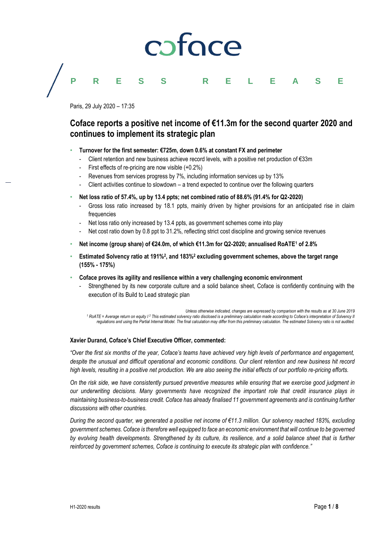# **PRESS RELEASE**

Paris, 29 July 2020 – 17:35

# **Coface reports a positive net income of €11.3m for the second quarter 2020 and continues to implement its strategic plan**

- **Turnover for the first semester: €725m, down 0.6% at constant FX and perimeter**
	- Client retention and new business achieve record levels, with a positive net production of €33m
	- First effects of re-pricing are now visible  $(+0.2\%)$
	- Revenues from services progress by 7%, including information services up by 13%
	- Client activities continue to slowdown a trend expected to continue over the following quarters
- **Net loss ratio of 57.4%, up by 13.4 ppts; net combined ratio of 88.6% (91.4% for Q2-2020)**
	- Gross loss ratio increased by 18.1 ppts, mainly driven by higher provisions for an anticipated rise in claim frequencies
	- Net loss ratio only increased by 13.4 ppts, as government schemes come into play
	- Net cost ratio down by 0.8 ppt to 31.2%, reflecting strict cost discipline and growing service revenues
- **Net income (group share) of €24.0m, of which €11.3m for Q2-2020; annualised RoATE<sup>1</sup> of 2.8%**
- **Estimated Solvency ratio at 191%**<sup>2</sup>, and 183%<sup>2</sup> excluding government schemes, above the target range **(155% - 175%)**
- **Coface proves its agility and resilience within a very challenging economic environment**
	- Strengthened by its new corporate culture and a solid balance sheet, Coface is confidently continuing with the execution of its Build to Lead strategic plan

*Unless otherwise indicated, changes are expressed by comparison with the results as at 30 June 2019* <sup>1</sup> RoATE = Average return on equity  $1^2$  This estimated solvency ratio disclosed is a preliminary calculation made according to Coface's interpretation of Solvency II *regulations and using the Partial Internal Model. The final calculation may differ from this preliminary calculation. The estimated Solvency ratio is not audited.*

## **Xavier Durand, Coface's Chief Executive Officer, commented:**

*"Over the first six months of the year, Coface's teams have achieved very high levels of performance and engagement, despite the unusual and difficult operational and economic conditions. Our client retention and new business hit record high levels, resulting in a positive net production. We are also seeing the initial effects of our portfolio re-pricing efforts.*

*On the risk side, we have consistently pursued preventive measures while ensuring that we exercise good judgment in our underwriting decisions. Many governments have recognized the important role that credit insurance plays in maintaining business-to-business credit. Coface has already finalised 11 government agreements and is continuing further discussions with other countries.*

*During the second quarter, we generated a positive net income of €11.3 million. Our solvency reached 183%, excluding government schemes. Coface is therefore well equipped to face an economic environment that will continue to be governed by evolving health developments. Strengthened by its culture, its resilience, and a solid balance sheet that is further reinforced by government schemes, Coface is continuing to execute its strategic plan with confidence."*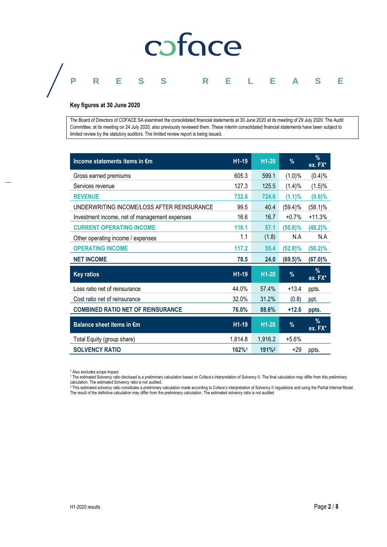# **PRESS RELEASE**

### **Key figures at 30 June 2020**

The Board of Directors of COFACE SA examined the consolidated financial statements at 30 June 2020 at its meeting of 29 July 2020. The Audit Committee, at its meeting on 24 July 2020, also previously reviewed them. These interim consolidated financial statements have been subject to limited review by the statutory auditors. The limited review report is being issued.

| Income statements items in €m                 | H1-19   | H1-20              | %          | %<br>ex. FX*    |
|-----------------------------------------------|---------|--------------------|------------|-----------------|
| Gross earned premiums                         | 605.3   | 599.1              | (1.0)%     | (0.4)%          |
| Services revenue                              | 127.3   | 125.5              | (1.4)%     | (1.5)%          |
| <b>REVENUE</b>                                | 732.6   | 724.6              | (1.1)%     | (0.6)%          |
| UNDERWRITING INCOME/LOSS AFTER REINSURANCE    | 99.5    | 40.4               | (59.4)%    | (58.1)%         |
| Investment income, net of management expenses | 16.6    | 16.7               | $+0.7%$    | $+11.3%$        |
| <b>CURRENT OPERATING INCOME</b>               | 116.1   | 57.1               | $(50.8)\%$ | $(48.2)\%$      |
| Other operating income / expenses             | 1.1     | (1.8)              | N.A        | N.A             |
| <b>OPERATING INCOME</b>                       | 117.2   | 55.4               | $(52.8)\%$ | $(50.2)\%$      |
| <b>NET INCOME</b>                             | 78.5    | 24.0               | $(69.5)\%$ | $(67.0)\%$      |
| <b>Key ratios</b>                             | H1-19   | H <sub>1</sub> -20 | %          | $\%$<br>ex. FX* |
| Loss ratio net of reinsurance                 | 44.0%   | 57.4%              | $+13.4$    | ppts.           |
| Cost ratio net of reinsurance                 | 32.0%   | 31.2%              | (0.8)      | ppt.            |
| <b>COMBINED RATIO NET OF REINSURANCE</b>      | 76.0%   | 88.6%              | $+12.6$    | ppts.           |
| Balance sheet items in €m                     | H1-19   | H <sub>1</sub> -20 | %          | %<br>ex. FX*    |
| Total Equity (group share)                    | 1,814.8 | 1,916.2            | $+5.6%$    |                 |
| <b>SOLVENCY RATIO</b>                         | 162%1   | 191% <sup>2</sup>  | +29        | ppts.           |

\* Also excludes scope impact

<sup>1</sup> The estimated Solvency ratio disclosed is a preliminary calculation based on Coface's interpretation of Solvency II. The final calculation may differ from this preliminary

calculation. The estimated Solvency ratio is not audited.<br><sup>2</sup> This estimated solvency ratio constitutes a preliminary calculation made according to Coface's interpretation of Solvency II regulations and using the Partial I The result of the definitive calculation may differ from the preliminary calculation. The estimated solvency ratio is not audited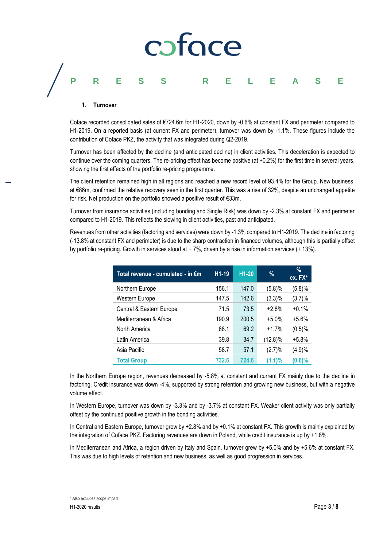# **PRESS RELEASE**

### **1. Turnover**

Coface recorded consolidated sales of €724.6m for H1-2020, down by -0.6% at constant FX and perimeter compared to H1-2019. On a reported basis (at current FX and perimeter), turnover was down by -1.1%. These figures include the contribution of Coface PKZ, the activity that was integrated during Q2-2019.

Turnover has been affected by the decline (and anticipated decline) in client activities. This deceleration is expected to continue over the coming quarters. The re-pricing effect has become positive (at  $+0.2\%$ ) for the first time in several years, showing the first effects of the portfolio re-pricing programme.

The client retention remained high in all regions and reached a new record level of 93.4% for the Group. New business, at €86m, confirmed the relative recovery seen in the first quarter. This was a rise of 32%, despite an unchanged appetite for risk. Net production on the portfolio showed a positive result of €33m.

Turnover from insurance activities (including bonding and Single Risk) was down by -2.3% at constant FX and perimeter compared to H1-2019. This reflects the slowing in client activities, past and anticipated.

Revenues from other activities (factoring and services) were down by -1.3% compared to H1-2019. The decline in factoring (-13.8% at constant FX and perimeter) is due to the sharp contraction in financed volumes, although this is partially offset by portfolio re-pricing. Growth in services stood at + 7%, driven by a rise in information services (+ 13%).

| Total revenue - cumulated - in €m | H <sub>1</sub> -19 | $H1-20$ | %          | $\%$<br>ex. FX* |
|-----------------------------------|--------------------|---------|------------|-----------------|
| Northern Europe                   | 156.1              | 147.0   | (5.8)%     | (5.8)%          |
| Western Europe                    | 147.5              | 142.6   | $(3.3)\%$  | (3.7)%          |
| Central & Eastern Europe          | 71.5               | 73.5    | $+2.8%$    | $+0.1%$         |
| Mediterranean & Africa            | 190.9              | 200.5   | $+5.0%$    | $+5.6%$         |
| North America                     | 68.1               | 69.2    | $+1.7%$    | (0.5)%          |
| Latin America                     | 39.8               | 34.7    | $(12.8)\%$ | $+5.8%$         |
| Asia Pacific                      | 58.7               | 57.1    | $(2.7)\%$  | (4.9)%          |
| <b>Total Group</b>                | 732.6              | 724.6   | (1.1)%     | $(0.6)\%$       |

In the Northern Europe region, revenues decreased by -5.8% at constant and current FX mainly due to the decline in factoring. Credit insurance was down -4%, supported by strong retention and growing new business, but with a negative volume effect.

In Western Europe, turnover was down by -3.3% and by -3.7% at constant FX. Weaker client activity was only partially offset by the continued positive growth in the bonding activities.

In Central and Eastern Europe, turnover grew by +2.8% and by +0.1% at constant FX. This growth is mainly explained by the integration of Coface PKZ. Factoring revenues are down in Poland, while credit insurance is up by +1.8%.

In Mediterranean and Africa, a region driven by Italy and Spain, turnover grew by +5.0% and by +5.6% at constant FX. This was due to high levels of retention and new business, as well as good progression in services.

 $\overline{a}$ 

Also excludes scope impact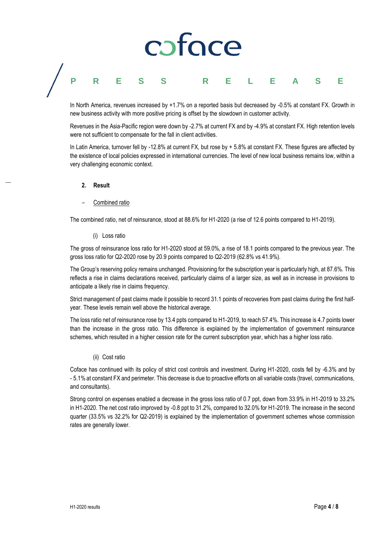# caface

# **PRESS RELEASE**

In North America, revenues increased by +1.7% on a reported basis but decreased by -0.5% at constant FX. Growth in new business activity with more positive pricing is offset by the slowdown in customer activity.

Revenues in the Asia-Pacific region were down by -2.7% at current FX and by -4.9% at constant FX. High retention levels were not sufficient to compensate for the fall in client activities.

In Latin America, turnover fell by -12.8% at current FX, but rose by + 5.8% at constant FX. These figures are affected by the existence of local policies expressed in international currencies. The level of new local business remains low, within a very challenging economic context.

- **2. Result**
- Combined ratio

The combined ratio, net of reinsurance, stood at 88.6% for H1-2020 (a rise of 12.6 points compared to H1-2019).

(i) Loss ratio

The gross of reinsurance loss ratio for H1-2020 stood at 59.0%, a rise of 18.1 points compared to the previous year. The gross loss ratio for Q2-2020 rose by 20.9 points compared to Q2-2019 (62.8% vs 41.9%).

The Group's reserving policy remains unchanged. Provisioning for the subscription year is particularly high, at 87.6%. This reflects a rise in claims declarations received, particularly claims of a larger size, as well as in increase in provisions to anticipate a likely rise in claims frequency.

Strict management of past claims made it possible to record 31.1 points of recoveries from past claims during the first halfyear. These levels remain well above the historical average.

The loss ratio net of reinsurance rose by 13.4 ppts compared to H1-2019, to reach 57.4%. This increase is 4.7 points lower than the increase in the gross ratio. This difference is explained by the implementation of government reinsurance schemes, which resulted in a higher cession rate for the current subscription year, which has a higher loss ratio.

### (ii) Cost ratio

Coface has continued with its policy of strict cost controls and investment. During H1-2020, costs fell by -6.3% and by - 5.1% at constant FX and perimeter. This decrease is due to proactive efforts on all variable costs (travel, communications, and consultants).

Strong control on expenses enabled a decrease in the gross loss ratio of 0.7 ppt, down from 33.9% in H1-2019 to 33.2% in H1-2020. The net cost ratio improved by -0.8 ppt to 31.2%, compared to 32.0% for H1-2019. The increase in the second quarter (33.5% vs 32.2% for Q2-2019) is explained by the implementation of government schemes whose commission rates are generally lower.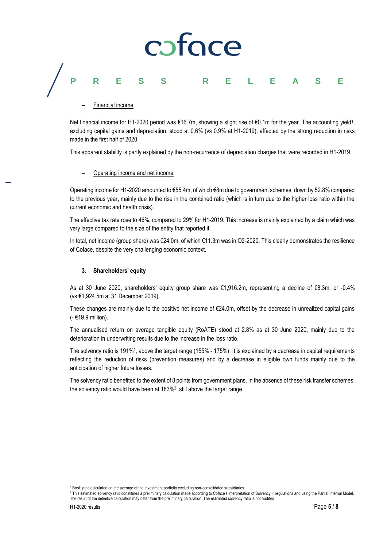# coface **PRESS RELEASE**

– Financial income

Net financial income for H1-2020 period was €16.7m, showing a slight rise of €0.1m for the year. The accounting yield1, excluding capital gains and depreciation, stood at 0.6% (vs 0.9% at H1-2019), affected by the strong reduction in risks made in the first half of 2020.

This apparent stability is partly explained by the non-recurrence of depreciation charges that were recorded in H1-2019.

## – Operating income and net income

Operating income for H1-2020 amounted to €55.4m, of which €8m due to government schemes, down by 52.8% compared to the previous year, mainly due to the rise in the combined ratio (which is in turn due to the higher loss ratio within the current economic and health crisis).

The effective tax rate rose to 46%, compared to 29% for H1-2019. This increase is mainly explained by a claim which was very large compared to the size of the entity that reported it.

In total, net income (group share) was €24.0m, of which €11.3m was in Q2-2020. This clearly demonstrates the resilience of Coface, despite the very challenging economic context.

## **3. Shareholders' equity**

As at 30 June 2020, shareholders' equity group share was €1,916.2m, representing a decline of €8.3m, or -0.4% (vs €1,924.5m at 31 December 2019).

These changes are mainly due to the positive net income of €24.0m, offset by the decrease in unrealized capital gains (- €19.9 million).

The annualised return on average tangible equity (RoATE) stood at 2.8% as at 30 June 2020, mainly due to the deterioration in underwriting results due to the increase in the loss ratio.

The solvency ratio is 191%?, above the target range (155% - 175%). It is explained by a decrease in capital requirements reflecting the reduction of risks (prevention measures) and by a decrease in eligible own funds mainly due to the anticipation of higher future losses.

The solvency ratio benefited to the extent of 8 points from government plans. In the absence of these risk transfer schemes, the solvency ratio would have been at 183%<sup>2</sup> , still above the target range.

 $\overline{a}$ <sup>1</sup> Book yield calculated on the average of the investment portfolio excluding non-consolidated subsidiaries

<sup>&</sup>lt;sup>2</sup> This estimated solvency ratio constitutes a preliminary calculation made according to Coface's interpretation of Solvency II regulations and using the Partial Internal Model. The result of the definitive calculation may differ from the preliminary calculation. The estimated solvency ratio is not audited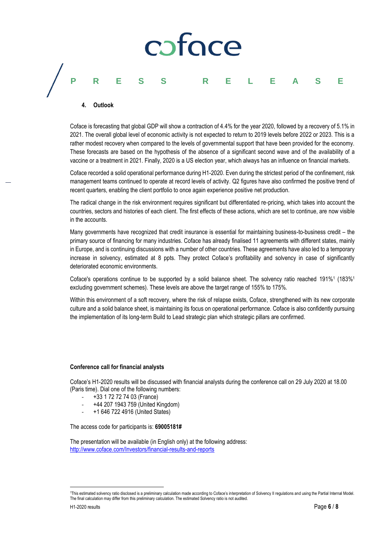# coface **PRESS RELEASE**

### **4. Outlook**

Coface is forecasting that global GDP will show a contraction of 4.4% for the year 2020, followed by a recovery of 5.1% in 2021. The overall global level of economic activity is not expected to return to 2019 levels before 2022 or 2023. This is a rather modest recovery when compared to the levels of governmental support that have been provided for the economy. These forecasts are based on the hypothesis of the absence of a significant second wave and of the availability of a vaccine or a treatment in 2021. Finally, 2020 is a US election year, which always has an influence on financial markets.

Coface recorded a solid operational performance during H1-2020. Even during the strictest period of the confinement, risk management teams continued to operate at record levels of activity. Q2 figures have also confirmed the positive trend of recent quarters, enabling the client portfolio to once again experience positive net production.

The radical change in the risk environment requires significant but differentiated re-pricing, which takes into account the countries, sectors and histories of each client. The first effects of these actions, which are set to continue, are now visible in the accounts.

Many governments have recognized that credit insurance is essential for maintaining business-to-business credit – the primary source of financing for many industries. Coface has already finalised 11 agreements with different states, mainly in Europe, and is continuing discussions with a number of other countries. These agreements have also led to a temporary increase in solvency, estimated at 8 ppts. They protect Coface's profitability and solvency in case of significantly deteriorated economic environments.

Coface's operations continue to be supported by a solid balance sheet. The solvency ratio reached 191%<sup>1</sup> (183%<sup>1</sup> excluding government schemes). These levels are above the target range of 155% to 175%.

Within this environment of a soft recovery, where the risk of relapse exists, Coface, strengthened with its new corporate culture and a solid balance sheet, is maintaining its focus on operational performance. Coface is also confidently pursuing the implementation of its long-term Build to Lead strategic plan which strategic pillars are confirmed.

### **Conference call for financial analysts**

Coface's H1-2020 results will be discussed with financial analysts during the conference call on 29 July 2020 at 18.00 (Paris time). Dial one of the following numbers:

- +33 1 72 72 74 03 (France)
- +44 207 1943 759 (United Kingdom)
- +1 646 722 4916 (United States)

The access code for participants is: **69005181#**

The presentation will be available (in English only) at the following address: <http://www.coface.com/Investors/financial-results-and-reports>

 $\overline{a}$ 

<sup>1</sup>This estimated solvency ratio disclosed is a preliminary calculation made according to Coface's interpretation of Solvency II regulations and using the Partial Internal Model. The final calculation may differ from this preliminary calculation. The estimated Solvency ratio is not audited.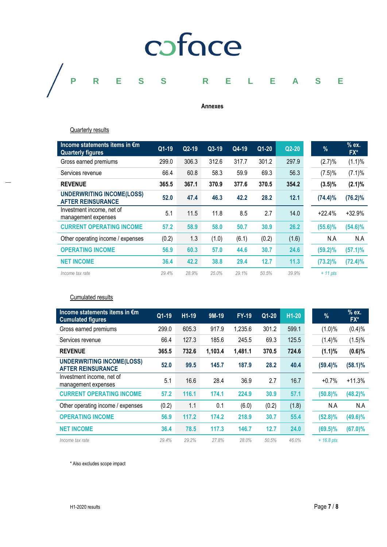

## **Annexes**

**Quarterly results** 

| Income statements items in €m<br><b>Quarterly figures</b>    | Q1-19 | $Q2-19$ | $Q3-19$ | Q4-19 | $Q1-20$ | $Q2-20$ | $\frac{9}{6}$ | % ex.<br>FX* |
|--------------------------------------------------------------|-------|---------|---------|-------|---------|---------|---------------|--------------|
| Gross earned premiums                                        | 299.0 | 306.3   | 312.6   | 317.7 | 301.2   | 297.9   | (2.7)%        | $(1.1)\%$    |
| Services revenue                                             | 66.4  | 60.8    | 58.3    | 59.9  | 69.3    | 56.3    | (7.5)%        | $(7.1)\%$    |
| <b>REVENUE</b>                                               | 365.5 | 367.1   | 370.9   | 377.6 | 370.5   | 354.2   | $(3.5)\%$     | $(2.1)\%$    |
| <b>UNDERWRITING INCOME(LOSS)</b><br><b>AFTER REINSURANCE</b> | 52.0  | 47.4    | 46.3    | 42.2  | 28.2    | 12.1    | $(74.4)\%$    | $(76.2)\%$   |
| Investment income, net of<br>management expenses             | 5.1   | 11.5    | 11.8    | 8.5   | 2.7     | 14.0    | $+22.4%$      | $+32.9%$     |
| <b>CURRENT OPERATING INCOME</b>                              | 57.2  | 58.9    | 58.0    | 50.7  | 30.9    | 26.2    | $(55.6)\%$    | $(54.6)\%$   |
| Other operating income / expenses                            | (0.2) | 1.3     | (1.0)   | (6.1) | (0.2)   | (1.6)   | N.A           | N.A          |
| <b>OPERATING INCOME</b>                                      | 56.9  | 60.3    | 57.0    | 44.6  | 30.7    | 24.6    | $(59.2)\%$    | $(57.1)\%$   |
| <b>NET INCOME</b>                                            | 36.4  | 42.2    | 38.8    | 29.4  | 12.7    | 11.3    | $(73.2)\%$    | $(72.4)\%$   |
| Income tax rate                                              | 29.4% | 28.9%   | 25.0%   | 29.1% | 50.5%   | 39.9%   | $+11$ pts     |              |

## Cumulated results

| Income statements items in $\epsilon$ m<br><b>Cumulated figures</b> | $Q1-19$ | $H1-19$ | $9M-19$ | <b>FY-19</b> | Q1-20 | $H1-20$ | %            | % ex.<br>$FX^*$ |
|---------------------------------------------------------------------|---------|---------|---------|--------------|-------|---------|--------------|-----------------|
| Gross earned premiums                                               | 299.0   | 605.3   | 917.9   | 1,235.6      | 301.2 | 599.1   | $(1.0)\%$    | (0.4)%          |
| Services revenue                                                    | 66.4    | 127.3   | 185.6   | 245.5        | 69.3  | 125.5   | (1.4)%       | (1.5)%          |
| <b>REVENUE</b>                                                      | 365.5   | 732.6   | 1,103.4 | 1,481.1      | 370.5 | 724.6   | $(1.1)\%$    | (0.6)%          |
| <b>UNDERWRITING INCOME(LOSS)</b><br><b>AFTER REINSURANCE</b>        | 52.0    | 99.5    | 145.7   | 187.9        | 28.2  | 40.4    | $(59.4)\%$   | $(58.1)\%$      |
| Investment income, net of<br>management expenses                    | 5.1     | 16.6    | 28.4    | 36.9         | 2.7   | 16.7    | $+0.7%$      | $+11.3%$        |
| <b>CURRENT OPERATING INCOME</b>                                     | 57.2    | 116.1   | 174.1   | 224.9        | 30.9  | 57.1    | $(50.8)\%$   | $(48.2)\%$      |
| Other operating income / expenses                                   | (0.2)   | 1.1     | 0.1     | (6.0)        | (0.2) | (1.8)   | N.A          | N.A             |
| <b>OPERATING INCOME</b>                                             | 56.9    | 117.2   | 174.2   | 218.9        | 30.7  | 55.4    | $(52.8)\%$   | $(49.6)\%$      |
| <b>NET INCOME</b>                                                   | 36.4    | 78.5    | 117.3   | 146.7        | 12.7  | 24.0    | $(69.5)\%$   | $(67.0)\%$      |
| Income tax rate                                                     | 29.4%   | 29.2%   | 27.8%   | 28.0%        | 50.5% | 46.0%   | $+ 16.8$ pts |                 |

\* Also excludes scope impact